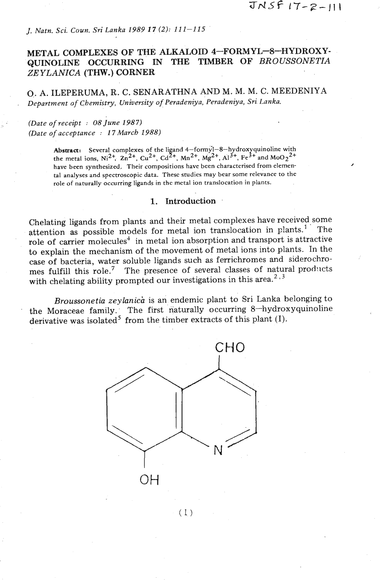# *J. Natn. Sci. Coun. Sri Lanka 1989 17* (2): 11 **1-1 15**

# **METAL COMPLEXES OF THE ALKALOID 4-FORMYL-8-HYDROXY-QUINOLINE OCCURRING IN THE TIMBER OF** *BROUSSONETIA ZE YLANICA (THW.)* **CORNER**

0. **A. ILEPERUMA, R.** C. **SENARATHNA AND** M. **M. M. C. MEEDENIYA**  . *Department* **of** *Chemistry, University* **of** *Peradeniya, Peradeniya, Sri Lanka.* 

## *(Date* **of** *receipt* : **08** *June 1987) (Date* **of** *acceptance* : *17 March 1988)*

Abstract: Several complexes of the ligand 4-formy<sup>1</sup>-8-hydroxyquinoline with the metal ions,  $Ni^{2+}$ ,  $Zn^{2+}$ ,  $Cu^{2+}$ ,  $Cd^{2+}$ ,  $Mn^{2+}$ ,  $Mg^{2+}$ ,  $Al^{3+}$ ,  $Fe^{3+}$  and  $MoO_2^{2+}$ have been synthesized. Their compositions have been charactcrised from elemental analyses and spectroscopic data. These studies may bear some relevance to the role of naturally occurring ligands in the metal ion translocation in plants.

### **1.** Introduction

Chelating ligands from plants and their metal complexes have received some attention as possible models for metal ion translocation in plants.<sup>1</sup> The role of carrier molecules<sup>4</sup> in metal ion absorption and transport is attractive to explain the mechanism of the movement of metal ions into plants. In the case of bacteria, water soluble ligands such as ferrichromes **and** siderochromes fulfill this role.<sup>7</sup> The presence of several classes of natural products with chelating ability prompted our investigations in this area.<sup>2,3</sup>

*Broussonetia zeylanich* is an endemic plant to Sri Lanka belonging to the Moraceae family. The first naturally occurring 8-hydroxyquinoline derivative was isolated<sup>5</sup> from the timber extracts of this plant  $(I)$ .



 $(1)$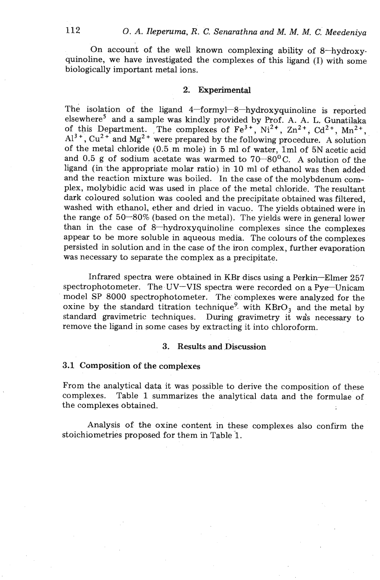On account of the well known complexing ability of 8-hydroxyquinoline, we have investigated the complexes of this ligand (I) with some biologically important metal ions.

### **2. Experimental**

The isolation of the ligand **4-formyl-8-hydroxyquinoline** is reported elsewhere5 and a sample was kindly provided by Prof. **A, A.** L. Gunatilaka of this Department. The complexes of  $Fe^{3+}$ ,  $Ni^{2+}$ ,  $Zn^{2+}$ ,  $Cd^{2+}$ ,  $Mn^{2+}$ ,  $Al^{3+}$ ,  $Cu^{2+}$  and  $Mg^{2+}$  were prepared by the following procedure. A solution of the metal chloride (0.5 m mole) in 5 ml of water, lml of 5N acetic acid and 0.5 g of sodium acetate was warmed to 70-80°C. **A** solution of the ligand (in the appropriate molar ratio) in 10 ml of ethanol was then added and the reaction mixture was boiled. In the case of the molybdenum complex, molybidic acid was used in place of the metal chloride. The resultant dark coloured solution was cooled and the precipitate obtained was filtered, washed with ethanol, ether and dried in vacuo. The yields obtained were in the range of  $50-80\%$  (based on the metal). The yields were in general lower than in the case of 8-hydroxyquinoline complexes since the complexes appear to be more soluble in aqueous media. The colours of the complexes persisted in solution and in the case of the iron complex, further evaporation was necessary to separate the complex as a precipitate.

Infrared spectra were obtained in KBr discs using a Perkin-Elmer 257 spectrophotometer. The UV-VIS spectra were recorded on a Pye-Unicam model SP 8000 spectrophotometer. The' complexes were analyzed for the oxine by the standard titration technique<sup>9</sup> with  $KBrO<sub>3</sub>$  and the metal by standard gravimetric techniques. During gravimetry it wds necessary to remove the ligand in some cases by extracting it into chloroform.

# **3. Results and .Discussion**

### **3.1** Composition of the complexes

From the analytical data it was possible to derive the composition of these complexes. Table 1 summarizes the analytical data and the formulae of the complexes obtained.

Analysis of the oxine content in these complexes also confirm the stoichiometries proposed for them in Table 1.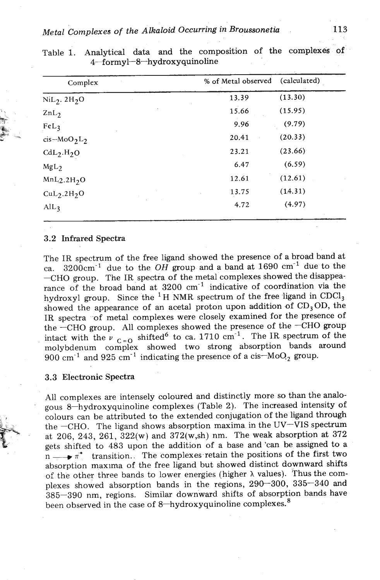*Metal Complexes of the Alkaloid Occurring in Broussonetia* **113** 

| Complex                             | % of Metal observed | (calculated) |
|-------------------------------------|---------------------|--------------|
| $NiL2$ . $2H2O$                     | 13.39               | (13.30)      |
| ZnL <sub>2</sub>                    | 15.66               | (15.95)      |
| FeL <sub>3</sub>                    | 9.96                | (9.79)       |
| $cis-MoO2L2$                        | 20.41               | (20.33)      |
| $CdL_2.H_2O$                        | 23.21               | (23.66)      |
| MgL <sub>2</sub>                    | 6.47                | (6.59)       |
| MnL <sub>2.2H<sub>2</sub>O</sub>    | 12.61               | (12.61)      |
| CuL <sub>2</sub> .2H <sub>2</sub> O | 13.75               | (14.31)      |
| $\text{AlL}_3$                      | 4.72                | (4.97)       |

Table 1. Analytical data and the composition of the complexes of **4-formyl-8-hydroxyquinoline** 

#### 3.2 Infrared Spectra

The IR spectrum of the free ligand showed the presence of a broad band at ca.  $3200 \text{cm}^{-1}$  due to the OH group and a band at 1690 cm<sup>-1</sup> due to the -CHO group. The IR spectra of the metal complexes showed the disappearance of the broad band at  $3200 \text{ cm}^{-1}$  indicative of coordination via the hydroxyl group. Since the <sup>1</sup>H NMR spectrum of the free ligand in CDCl<sub>3</sub> showed the appearance of an acetal proton upon addition of  $CD_3OD$ , the IR spectra of metal complexes were closely examined for the presence of the  $-CHO$  group. All complexes showed the presence of the  $-CHO$  group intact with the  $v_{C=0}$  shifted<sup>6</sup> to ca. 1710 cm<sup>-1</sup>. The IR spectrum of the molybdenum complex showed two strong absorption bands around 900 cm<sup>-1</sup> and 925 cm<sup>-1</sup> indicating the presence of a cis- $Mo_{2}$  group.

#### 3.3 Electronic Spectra

All complexes are intensely coloured and distinctly more so than the analo- ' gous 8-hydroxyquinoline complexes (Table 2). The increased intensity of **, 1** colours can be attributed to the extended conjugation of the ligand through the  $-CHO$ . The ligand shows absorption maxima in the UV-VIS spectrum at 206, 243, 261, 322(w) and 372(w,sh) nm. The weak absorption at 372 gets shifted to  $483$  upon the addition of a base and 'can be assigned to a at 206, 243, 261, 322(w) and 372(w,sh) nm. The weak absorption at 372 gets shifted to 483 upon the addition of a base and 'can be assigned to a  $m \longrightarrow \pi^*$  transition. The complexes retain the positions of the first two  $n \longrightarrow \pi^*$  transition. The complexes retain the positions of the first two absorption maxima of the free ligand but showed distinct downward shifts of the other three bands to lower energies (higher *h* values). Thus the complexes showed absorption bands in the regions, 290-300, 335-340 and 385-390 nm, regions. Similar downward shifts of absorption bands have been observed in the case of  $8$ -hydroxyquinoline complexes.<sup>8</sup>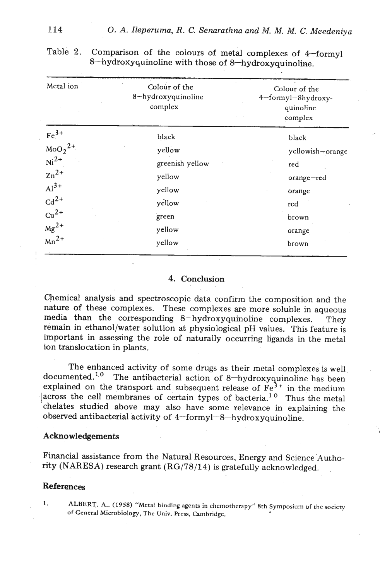| Metal ion                                  | Colour of the<br>8-hydroxyquinoline<br>complex | Colour of the<br>4-formyl-8hydroxy-<br>quinoline<br>complex |  |  |
|--------------------------------------------|------------------------------------------------|-------------------------------------------------------------|--|--|
| $\frac{\text{Fe}^{3+}}{\text{MoO}_2^{2+}}$ | black                                          | black                                                       |  |  |
|                                            | yellow                                         | yellowish-orange                                            |  |  |
| $Ni2+$                                     | greenish yellow                                | red                                                         |  |  |
| $\mathbf{z_n}^{2+}$                        | yellow                                         | orange-red                                                  |  |  |
| $Al3+$                                     | yellow                                         | orange                                                      |  |  |
| $\text{Cd}^{2+}$                           | yellow                                         | red                                                         |  |  |
| $Cu2+$                                     | green                                          | brown                                                       |  |  |
| $Mg^{2+}$                                  | yellow                                         | orange                                                      |  |  |
| $Mn^{2+}$                                  | yellow                                         | brown                                                       |  |  |

Table 2. Comparison of the colours of metal complexes of 4-formyl-8-hydroxyquinoline with those of 8-hydroxyquinoline.

# 4. Conclusion

Chemical analysis and spectroscopic data confirm the composition and the nature of these complexes. These complexes are more soluble in aqueous media than the corresponding 8-hydroxyquinoline complexes. They remain in ethanol/water solution at physiological pH values. This feature is important in assessing the role of naturally occurring ligands in the metal ion translocation in plants.

The enhanced activity of some drugs as their metal complexes is well documented.<sup>10</sup> The antibacterial action of 8-hydroxyquinoline has been explained on the transport and subsequent release of  $\overline{Fe}^{3+}$  in the medium across the cell membranes of certain types of bacteria.<sup>10</sup> Thus the metal chelates studied above may also have some relevance in explaining the observed antibacterial activity of **4-formyl-8-hydroxyquinoline.** 

#### Acknowledgements

Financial assistance from the Natural Resources, Energy and Science Authority (NARESA) research grant (RG/78/14) is gratefully acknowledged.

### References

**1. ALBERT, A., (1958) "Metal biriding agcnts in chcmothcrapy" 8th Symposium of the society of General Microbiology, The Univ. Prcs., Cambridge. <sup>1</sup>**